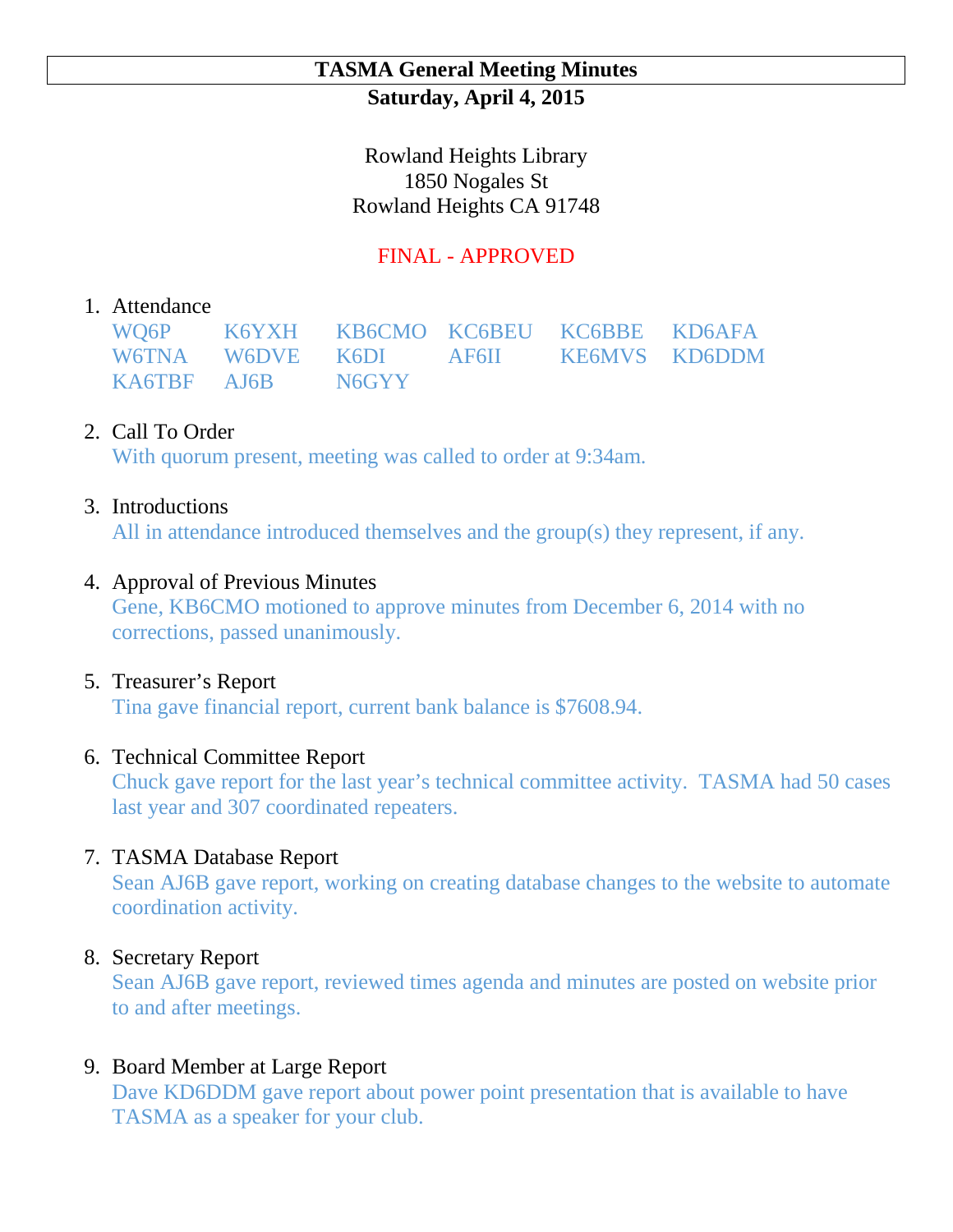# **TASMA General Meeting Minutes Saturday, April 4, 2015**

Rowland Heights Library 1850 Nogales St Rowland Heights CA 91748

# FINAL - APPROVED

### 1. Attendance

|                   | WQ6P K6YXH KB6CMO KC6BEU KC6BBE KD6AFA |  |                                      |
|-------------------|----------------------------------------|--|--------------------------------------|
|                   |                                        |  | W6TNA W6DVE K6DI AF6II KE6MVS KD6DDM |
| KA6TBF AJ6B N6GYY |                                        |  |                                      |

# 2. Call To Order

With quorum present, meeting was called to order at 9:34am.

## 3. Introductions

All in attendance introduced themselves and the group(s) they represent, if any.

## 4. Approval of Previous Minutes

Gene, KB6CMO motioned to approve minutes from December 6, 2014 with no corrections, passed unanimously.

## 5. Treasurer's Report

Tina gave financial report, current bank balance is \$7608.94.

## 6. Technical Committee Report

Chuck gave report for the last year's technical committee activity. TASMA had 50 cases last year and 307 coordinated repeaters.

## 7. TASMA Database Report

Sean AJ6B gave report, working on creating database changes to the website to automate coordination activity.

#### 8. Secretary Report

Sean AJ6B gave report, reviewed times agenda and minutes are posted on website prior to and after meetings.

## 9. Board Member at Large Report

Dave KD6DDM gave report about power point presentation that is available to have TASMA as a speaker for your club.